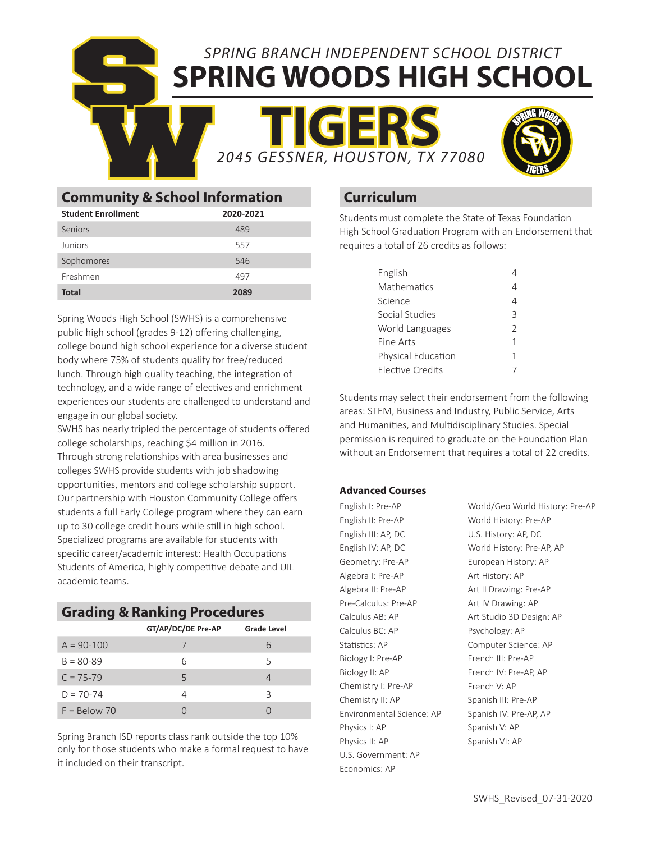SPRING BRANCH INDEPENDENT SCHOOL DISTRICT **SPRING WOODS HIGH SCHOOL**

**TIGERS** 2045 GESSNER, HOUSTON, TX 77080



|                                           | <b>2045 GESSN</b> |  |  |
|-------------------------------------------|-------------------|--|--|
| <b>Community &amp; School Information</b> |                   |  |  |
| <b>Student Enrollment</b>                 | 2020-2021         |  |  |
| Seniors                                   | 489               |  |  |
| Juniors                                   | 557               |  |  |
| Sophomores                                | 546               |  |  |
| Freshmen                                  | 497               |  |  |
| <b>Total</b>                              | 2089              |  |  |

S

Spring Woods High School (SWHS) is a comprehensive public high school (grades 9-12) offering challenging, college bound high school experience for a diverse student body where 75% of students qualify for free/reduced lunch. Through high quality teaching, the integration of technology, and a wide range of electives and enrichment experiences our students are challenged to understand and engage in our global society.

SWHS has nearly tripled the percentage of students offered college scholarships, reaching \$4 million in 2016. Through strong relationships with area businesses and colleges SWHS provide students with job shadowing opportunities, mentors and college scholarship support. Our partnership with Houston Community College offers students a full Early College program where they can earn up to 30 college credit hours while still in high school. Specialized programs are available for students with specific career/academic interest: Health Occupations Students of America, highly competitive debate and UIL academic teams.

### **Grading & Ranking Procedures**

|                | GT/AP/DC/DE Pre-AP | <b>Grade Level</b> |
|----------------|--------------------|--------------------|
| $A = 90-100$   |                    | h                  |
| $B = 80 - 89$  | 6                  | 5                  |
| $C = 75 - 79$  | 5                  |                    |
| $D = 70 - 74$  |                    | ζ                  |
| $F = Below 70$ |                    |                    |

Spring Branch ISD reports class rank outside the top 10% only for those students who make a formal request to have it included on their transcript.

### **Curriculum**

Students must complete the State of Texas Foundation High School Graduation Program with an Endorsement that requires a total of 26 credits as follows:

| English                 |               |
|-------------------------|---------------|
| Mathematics             |               |
| Science                 |               |
| Social Studies          | ζ             |
| World Languages         | $\mathcal{L}$ |
| Fine Arts               | 1             |
| Physical Education      | 1             |
| <b>Elective Credits</b> |               |

Students may select their endorsement from the following areas: STEM, Business and Industry, Public Service, Arts and Humanities, and Multidisciplinary Studies. Special permission is required to graduate on the Foundation Plan without an Endorsement that requires a total of 22 credits.

### **Advanced Courses**

English I: Pre-AP English II: Pre-AP English III: AP, DC English IV: AP, DC Geometry: Pre-AP Algebra I: Pre-AP Algebra II: Pre-AP Pre-Calculus: Pre-AP Calculus AB: AP Calculus BC: AP Statistics: AP Biology I: Pre-AP Biology II: AP Chemistry I: Pre-AP Chemistry II: AP Environmental Science: AP Physics I: AP Physics II: AP U.S. Government: AP Economics: AP

World/Geo World History: Pre-AP World History: Pre-AP U.S. History: AP, DC World History: Pre-AP, AP European History: AP Art History: AP Art II Drawing: Pre-AP Art IV Drawing: AP Art Studio 3D Design: AP Psychology: AP Computer Science: AP French III: Pre-AP French IV: Pre-AP, AP French V: AP Spanish III: Pre-AP Spanish IV: Pre-AP, AP Spanish V: AP Spanish VI: AP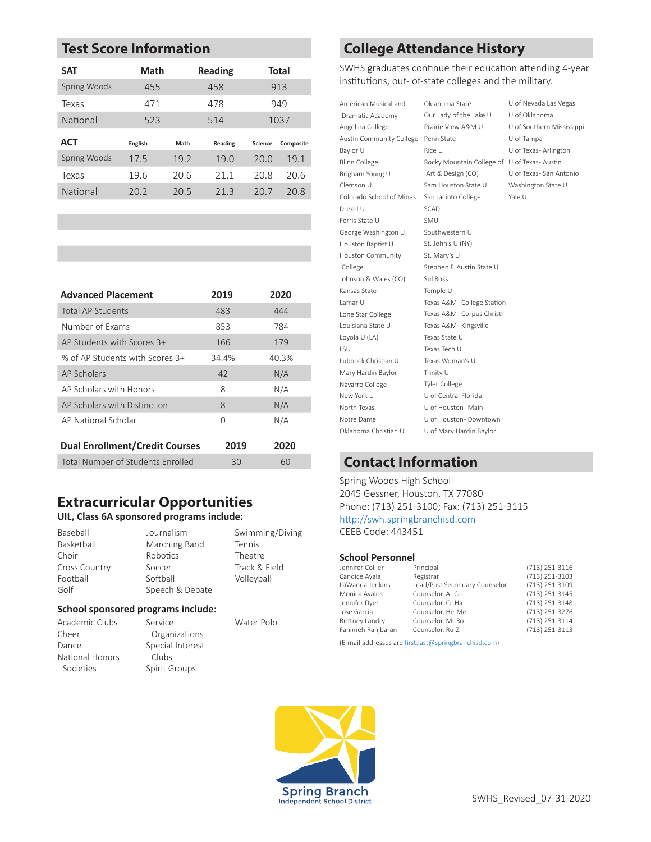# **Test Score Information**

| Math    |      | <b>Reading</b> |                | <b>Total</b> |
|---------|------|----------------|----------------|--------------|
| 455     |      | 458            |                | 913          |
| 471     |      | 478            |                | 949          |
| 523     |      | 514            |                | 1037         |
| English | Math | Reading        | <b>Science</b> | Composite    |
| 17.5    | 19.2 | 19.0           | 20.0           | 19.1         |
| 19.6    | 20.6 | 21.1           | 20.8           | 20.6         |
| 20.2    | 20.5 | 21.3           | 20.7           | 20.8         |
|         |      |                |                |              |

| <b>Advanced Placement</b>             | 2019  | 2020  |
|---------------------------------------|-------|-------|
| Total AP Students                     | 483   | 444   |
| Number of Exams                       | 853   | 784   |
| AP Students with Scores 3+            | 166   | 179   |
| % of AP Students with Scores 3+       | 34.4% | 40.3% |
| AP Scholars                           | 42    | N/A   |
| AP Scholars with Honors               | 8     | N/A   |
| AP Scholars with Distinction          | 8     | N/A   |
| AP National Scholar                   | O     | N/A   |
| <b>Dual Enrollment/Credit Courses</b> | 2019  | 2020  |
| Total Number of Students Enrolled     | 30    | 60    |

### **Extracurricular Opportunities**

### **UIL, Class 6A sponsored programs include:**

| Journalism      | Swimming/Diving |
|-----------------|-----------------|
| Marching Band   | Tennis          |
| Robotics        | Theatre         |
| Soccer          | Track & Field   |
| Softball        | Volleyball      |
| Speech & Debate |                 |
|                 |                 |

### **School sponsored programs include:**

Academic Clubs Cheer Dance National Honors Societies Service Organizations Special Interest Clubs Spirit Groups

Water Polo

# **College Attendance History**

SWHS graduates continue their education attending 4-year institutions, out- of-state colleges and the military.

U of Nevada Las Vegas

U of Southern Mississippi

U of Texas- San Antonio Washington State U

U of Tampa U of Texas- Arlington

| American Musical and     | Oklahoma State                              | U of Nevada Las V |
|--------------------------|---------------------------------------------|-------------------|
| Dramatic Academy         | Our Lady of the Lake U                      | U of Oklahoma     |
| Angelina College         | Prairie View A&M U                          | U of Southern Mis |
| Austin Community College | Penn State                                  | U of Tampa        |
| Baylor U                 | Rice U                                      | U of Texas-Arling |
| Blinn College            | Rocky Mountain College of U of Texas-Austin |                   |
| Brigham Young U          | Art & Design (CO)                           | U of Texas-San Ar |
| Clemson U                | Sam Houston State U                         | Washington State  |
| Colorado School of Mines | San Jacinto College                         | Yale U            |
| Drexel U                 | SCAD                                        |                   |
| Ferris State U           | SMU                                         |                   |
| George Washington U      | Southwestern U                              |                   |
| Houston Baptist U        | St. John's U (NY)                           |                   |
| Houston Community        | St. Mary's U                                |                   |
| College                  | Stephen F. Austin State U                   |                   |
| Johnson & Wales (CO)     | Sul Ross                                    |                   |
| Kansas State             | Temple U                                    |                   |
| Lamar U                  | Texas A&M- College Station                  |                   |
| Lone Star College        | Texas A&M- Corpus Christi                   |                   |
| Louisiana State U        | Texas A&M- Kingsville                       |                   |
| Loyola U (LA)            | Texas State U                               |                   |
| LSU                      | Texas Tech U                                |                   |
| Lubbock Christian U      | Texas Woman's U                             |                   |
| Mary Hardin Baylor       | Trinity U                                   |                   |
| Navarro College          | <b>Tyler College</b>                        |                   |
| New York U               | U of Central Florida                        |                   |
| North Texas              | U of Houston- Main                          |                   |
| Notre Dame               | U of Houston- Downtown                      |                   |
| Oklahoma Christian U     | U of Mary Hardin Baylor                     |                   |

### **Contact Information**

Spring Woods High School 2045 Gessner, Houston, TX 77080 Phone: (713) 251-3100; Fax: (713) 251-3115 http://swh.springbranchisd.com CEEB Code: 443451

### **School Personnel**

| Principal                     | (713) 251-3116 |
|-------------------------------|----------------|
| Registrar                     | (713) 251-3103 |
| Lead/Post Secondary Counselor | (713) 251-3109 |
| Counselor, A-Co               | (713) 251-3145 |
| Counselor, Cr-Ha              | (713) 251-3148 |
| Counselor, He-Me              | (713) 251-3276 |
| Counselor, Mi-Ro              | (713) 251-3114 |
| Counselor, Ru-Z               | (713) 251-3113 |
|                               |                |

(E-mail addresses are first.last@springbranchisd.com)